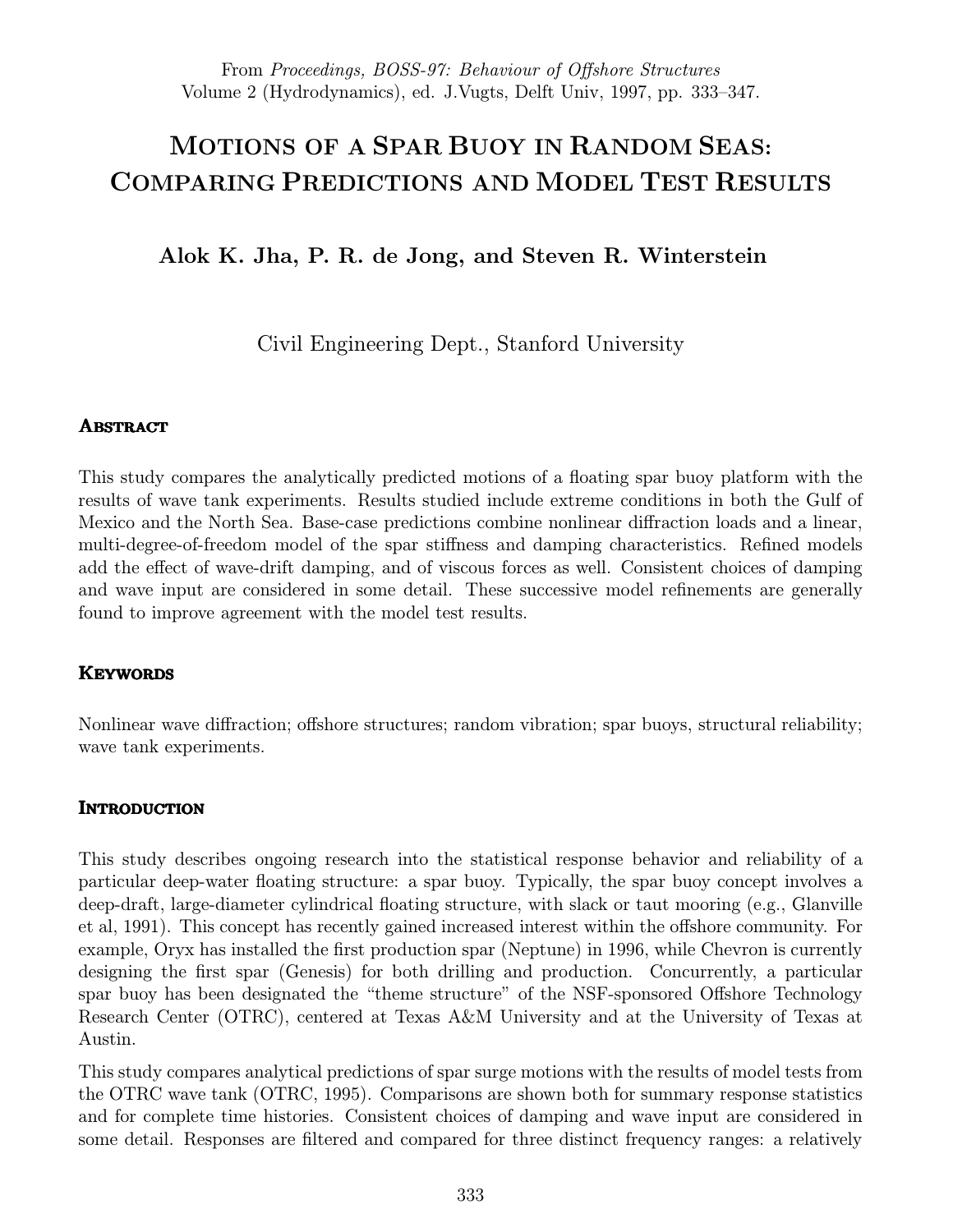# MOTIONS OF A SPAR BUOY IN RANDOM SEAS: COMPARING PREDICTIONS AND MODEL TEST RESULTS

# Alok K. Jha, P. R. de Jong, and Steven R. Winterstein

Civil Engineering Dept., Stanford University

# **ABSTRACT**

This study compares the analytically predicted motions of a floating spar buoy platform with the results of wave tank experiments. Results studied include extreme conditions in both the Gulf of Mexico and the North Sea. Base-case predictions combine nonlinear diffraction loads and a linear, multi-degree-of-freedom model of the spar stiffness and damping characteristics. Refined models add the effect of wave-drift damping, and of viscous forces as well. Consistent choices of damping and wave input are considered in some detail. These successive model refinements are generally found to improve agreement with the model test results.

# **KEYWORDS**

Nonlinear wave diffraction; offshore structures; random vibration; spar buoys, structural reliability; wave tank experiments.

# **INTRODUCTION**

This study describes ongoing research into the statistical response behavior and reliability of a particular deep-water floating structure: a spar buoy. Typically, the spar buoy concept involves a deep-draft, large-diameter cylindrical floating structure, with slack or taut mooring (e.g., Glanville et al, 1991). This concept has recently gained increased interest within the offshore community. For example, Oryx has installed the first production spar (Neptune) in 1996, while Chevron is currently designing the first spar (Genesis) for both drilling and production. Concurrently, a particular spar buoy has been designated the "theme structure" of the NSF-sponsored Offshore Technology Research Center (OTRC), centered at Texas A&M University and at the University of Texas at Austin.

This study compares analytical predictions of spar surge motions with the results of model tests from the OTRC wave tank (OTRC, 1995). Comparisons are shown both for summary response statistics and for complete time histories. Consistent choices of damping and wave input are considered in some detail. Responses are filtered and compared for three distinct frequency ranges: a relatively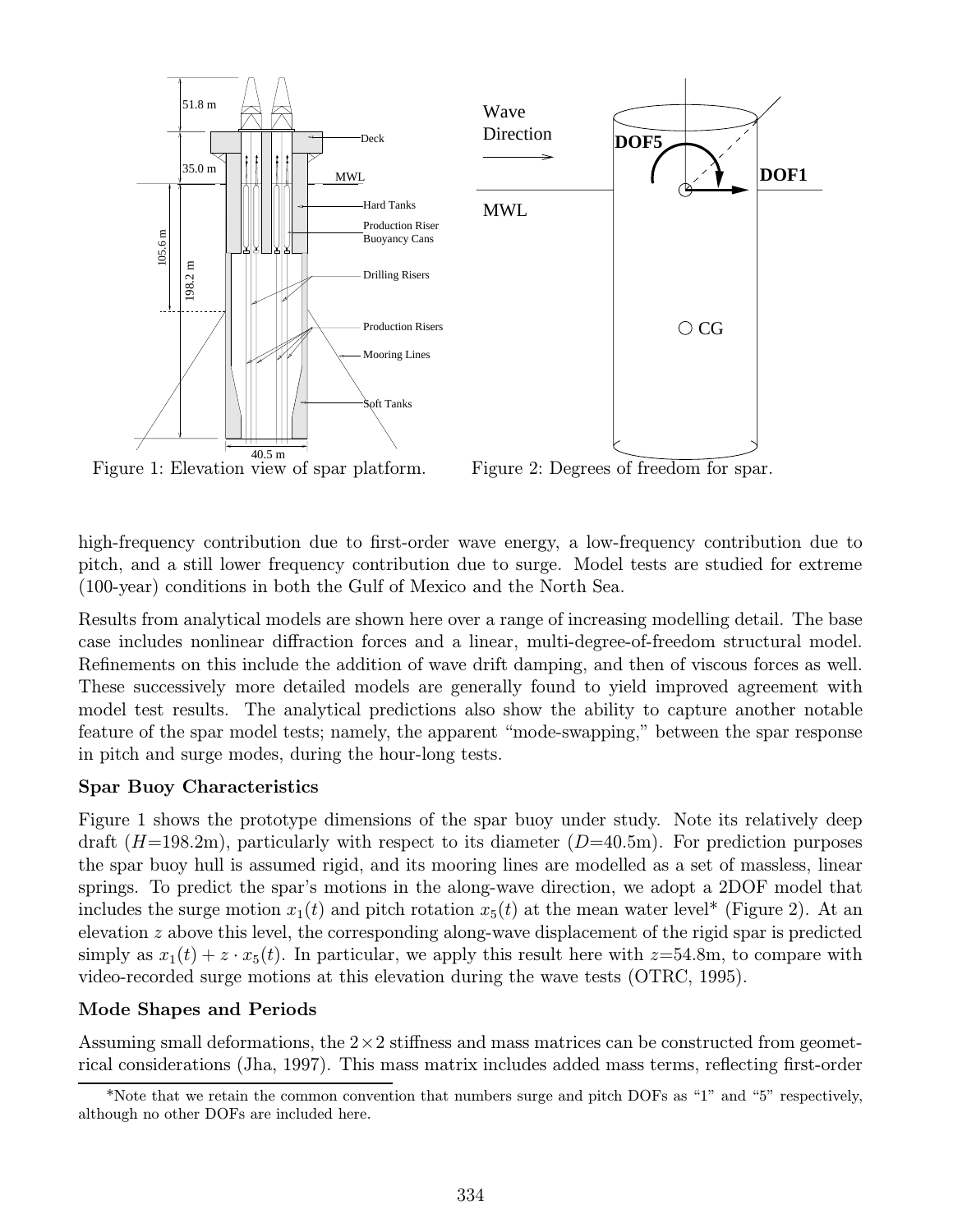

Figure 1: Elevation view of spar platform.

Figure 2: Degrees of freedom for spar.

high-frequency contribution due to first-order wave energy, a low-frequency contribution due to pitch, and a still lower frequency contribution due to surge. Model tests are studied for extreme (100-year) conditions in both the Gulf of Mexico and the North Sea.

Results from analytical models are shown here over a range of increasing modelling detail. The base case includes nonlinear diffraction forces and a linear, multi-degree-of-freedom structural model. Refinements on this include the addition of wave drift damping, and then of viscous forces as well. These successively more detailed models are generally found to yield improved agreement with model test results. The analytical predictions also show the ability to capture another notable feature of the spar model tests; namely, the apparent "mode-swapping," between the spar response in pitch and surge modes, during the hour-long tests.

# Spar Buoy Characteristics

Figure 1 shows the prototype dimensions of the spar buoy under study. Note its relatively deep draft  $(H=198.2m)$ , particularly with respect to its diameter  $(D=40.5m)$ . For prediction purposes the spar buoy hull is assumed rigid, and its mooring lines are modelled as a set of massless, linear springs. To predict the spar's motions in the along-wave direction, we adopt a 2DOF model that includes the surge motion  $x_1(t)$  and pitch rotation  $x_5(t)$  at the mean water level\* (Figure 2). At an elevation z above this level, the corresponding along-wave displacement of the rigid spar is predicted simply as  $x_1(t) + z \cdot x_5(t)$ . In particular, we apply this result here with  $z=54.8$ m, to compare with video-recorded surge motions at this elevation during the wave tests (OTRC, 1995).

# Mode Shapes and Periods

Assuming small deformations, the  $2\times 2$  stiffness and mass matrices can be constructed from geometrical considerations (Jha, 1997). This mass matrix includes added mass terms, reflecting first-order

<sup>\*</sup>Note that we retain the common convention that numbers surge and pitch DOFs as "1" and "5" respectively, although no other DOFs are included here.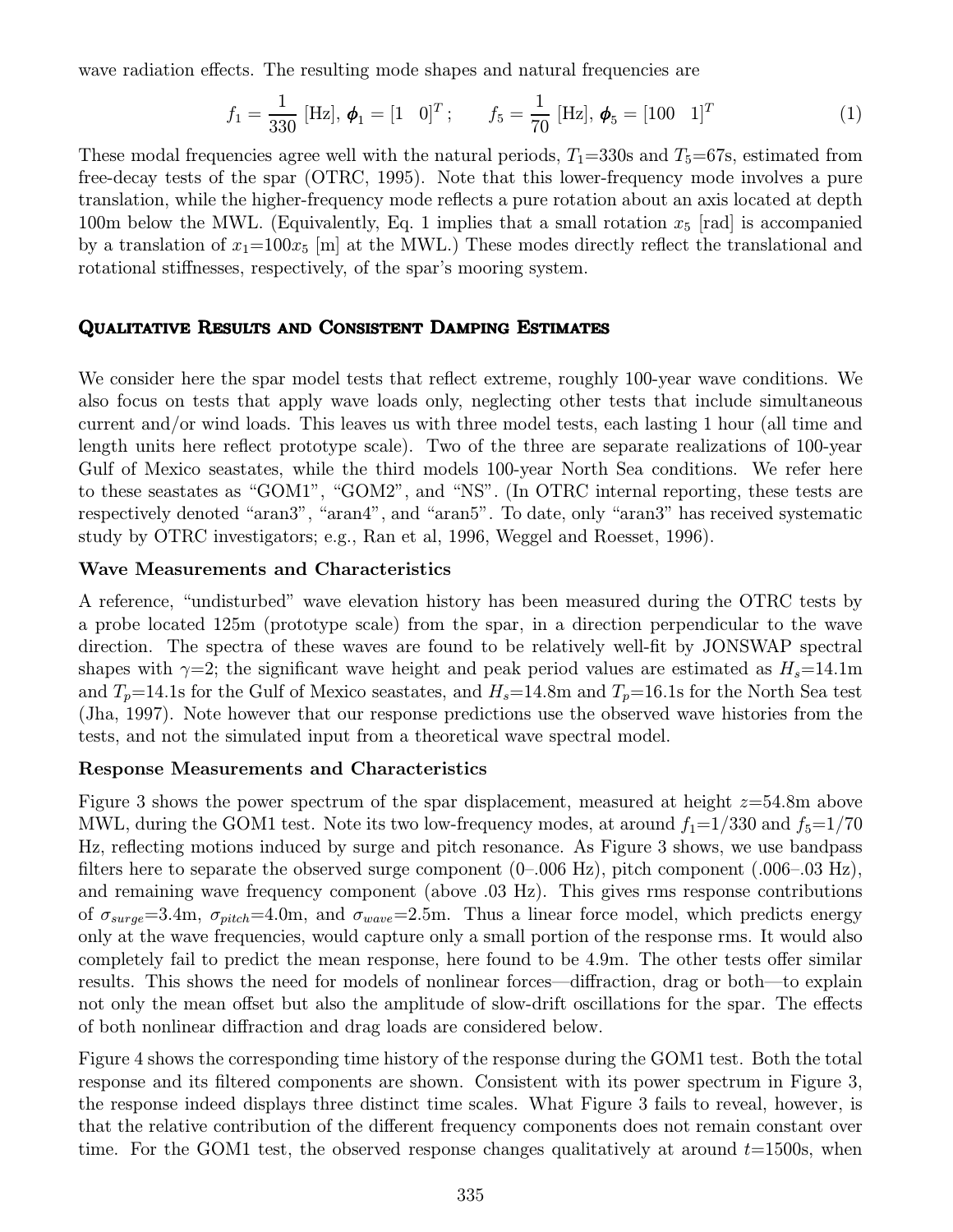wave radiation effects. The resulting mode shapes and natural frequencies are

$$
f_1 = \frac{1}{330} [\text{Hz}], \phi_1 = [1 \ 0]^T; \qquad f_5 = \frac{1}{70} [\text{Hz}], \phi_5 = [100 \ 1]^T
$$
 (1)

These modal frequencies agree well with the natural periods,  $T_1=330$ s and  $T_5=67$ s, estimated from free-decay tests of the spar (OTRC, 1995). Note that this lower-frequency mode involves a pure translation, while the higher-frequency mode reflects a pure rotation about an axis located at depth 100m below the MWL. (Equivalently, Eq. 1 implies that a small rotation  $x_5$  [rad] is accompanied by a translation of  $x_1=100x_5$  [m] at the MWL.) These modes directly reflect the translational and rotational stiffnesses, respectively, of the spar's mooring system.

#### Qualitative Results and Consistent Damping Estimates

We consider here the spar model tests that reflect extreme, roughly 100-year wave conditions. We also focus on tests that apply wave loads only, neglecting other tests that include simultaneous current and/or wind loads. This leaves us with three model tests, each lasting 1 hour (all time and length units here reflect prototype scale). Two of the three are separate realizations of 100-year Gulf of Mexico seastates, while the third models 100-year North Sea conditions. We refer here to these seastates as "GOM1", "GOM2", and "NS". (In OTRC internal reporting, these tests are respectively denoted "aran3", "aran4", and "aran5". To date, only "aran3" has received systematic study by OTRC investigators; e.g., Ran et al, 1996, Weggel and Roesset, 1996).

#### Wave Measurements and Characteristics

A reference, "undisturbed" wave elevation history has been measured during the OTRC tests by a probe located 125m (prototype scale) from the spar, in a direction perpendicular to the wave direction. The spectra of these waves are found to be relatively well-fit by JONSWAP spectral shapes with  $\gamma=2$ ; the significant wave height and peak period values are estimated as  $H_s=14.1\text{m}$ and  $T_p=14.1$ s for the Gulf of Mexico seastates, and  $H_s=14.8$ m and  $T_p=16.1$ s for the North Sea test (Jha, 1997). Note however that our response predictions use the observed wave histories from the tests, and not the simulated input from a theoretical wave spectral model.

## Response Measurements and Characteristics

Figure 3 shows the power spectrum of the spar displacement, measured at height  $z=54.8$ m above MWL, during the GOM1 test. Note its two low-frequency modes, at around  $f_1=1/330$  and  $f_5=1/70$ Hz, reflecting motions induced by surge and pitch resonance. As Figure 3 shows, we use bandpass filters here to separate the observed surge component  $(0-.006 \text{ Hz})$ , pitch component  $(.006-.03 \text{ Hz})$ , and remaining wave frequency component (above .03 Hz). This gives rms response contributions of  $\sigma_{surge}=3.4$ m,  $\sigma_{pitch}=4.0$ m, and  $\sigma_{wave}=2.5$ m. Thus a linear force model, which predicts energy only at the wave frequencies, would capture only a small portion of the response rms. It would also completely fail to predict the mean response, here found to be 4.9m. The other tests offer similar results. This shows the need for models of nonlinear forces—diffraction, drag or both—to explain not only the mean offset but also the amplitude of slow-drift oscillations for the spar. The effects of both nonlinear diffraction and drag loads are considered below.

Figure 4 shows the corresponding time history of the response during the GOM1 test. Both the total response and its filtered components are shown. Consistent with its power spectrum in Figure 3, the response indeed displays three distinct time scales. What Figure 3 fails to reveal, however, is that the relative contribution of the different frequency components does not remain constant over time. For the GOM1 test, the observed response changes qualitatively at around  $t=1500$ s, when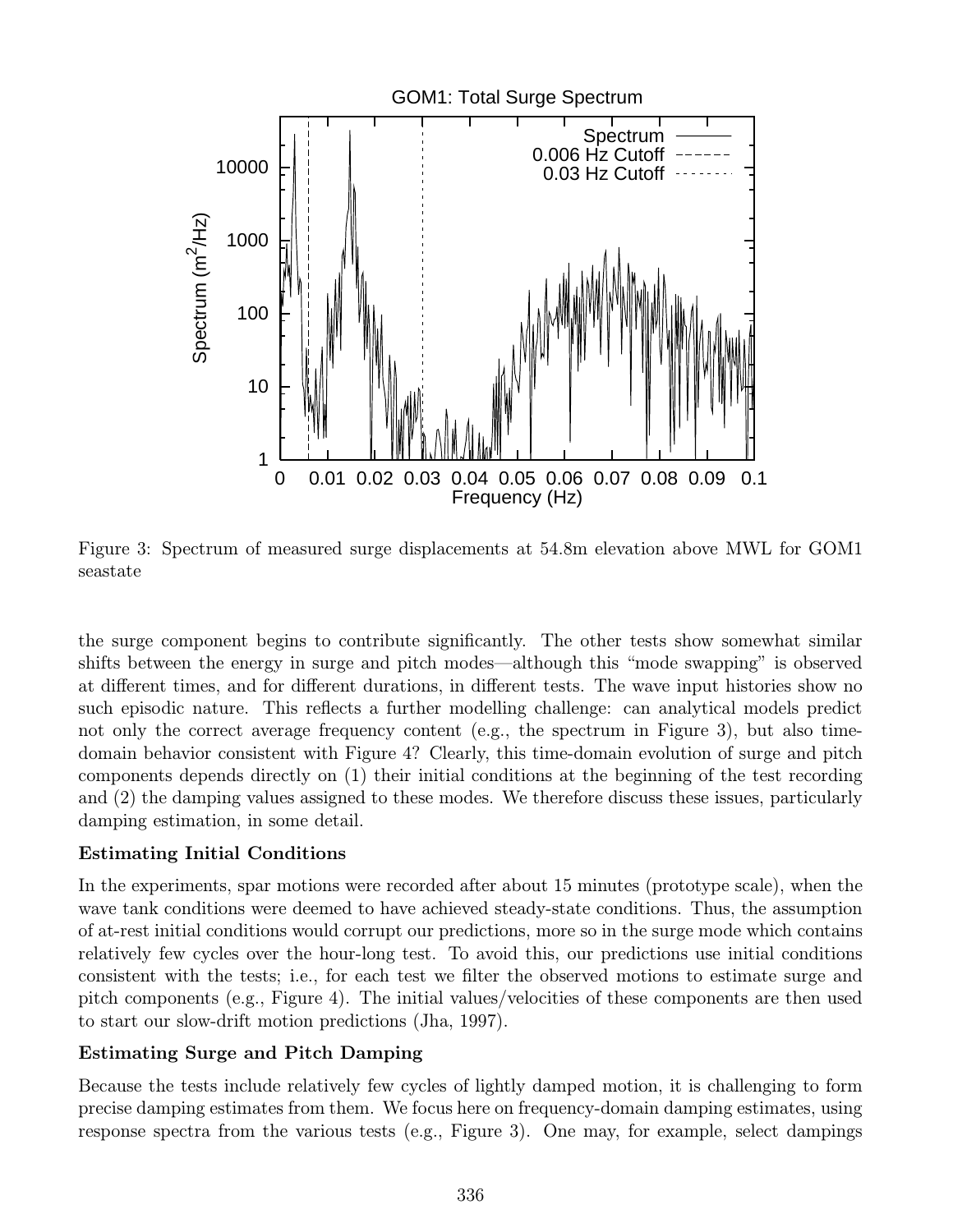

Figure 3: Spectrum of measured surge displacements at 54.8m elevation above MWL for GOM1 seastate

the surge component begins to contribute significantly. The other tests show somewhat similar shifts between the energy in surge and pitch modes—although this "mode swapping" is observed at different times, and for different durations, in different tests. The wave input histories show no such episodic nature. This reflects a further modelling challenge: can analytical models predict not only the correct average frequency content (e.g., the spectrum in Figure 3), but also timedomain behavior consistent with Figure 4? Clearly, this time-domain evolution of surge and pitch components depends directly on (1) their initial conditions at the beginning of the test recording and (2) the damping values assigned to these modes. We therefore discuss these issues, particularly damping estimation, in some detail.

# Estimating Initial Conditions

In the experiments, spar motions were recorded after about 15 minutes (prototype scale), when the wave tank conditions were deemed to have achieved steady-state conditions. Thus, the assumption of at-rest initial conditions would corrupt our predictions, more so in the surge mode which contains relatively few cycles over the hour-long test. To avoid this, our predictions use initial conditions consistent with the tests; i.e., for each test we filter the observed motions to estimate surge and pitch components (e.g., Figure 4). The initial values/velocities of these components are then used to start our slow-drift motion predictions (Jha, 1997).

# Estimating Surge and Pitch Damping

Because the tests include relatively few cycles of lightly damped motion, it is challenging to form precise damping estimates from them. We focus here on frequency-domain damping estimates, using response spectra from the various tests (e.g., Figure 3). One may, for example, select dampings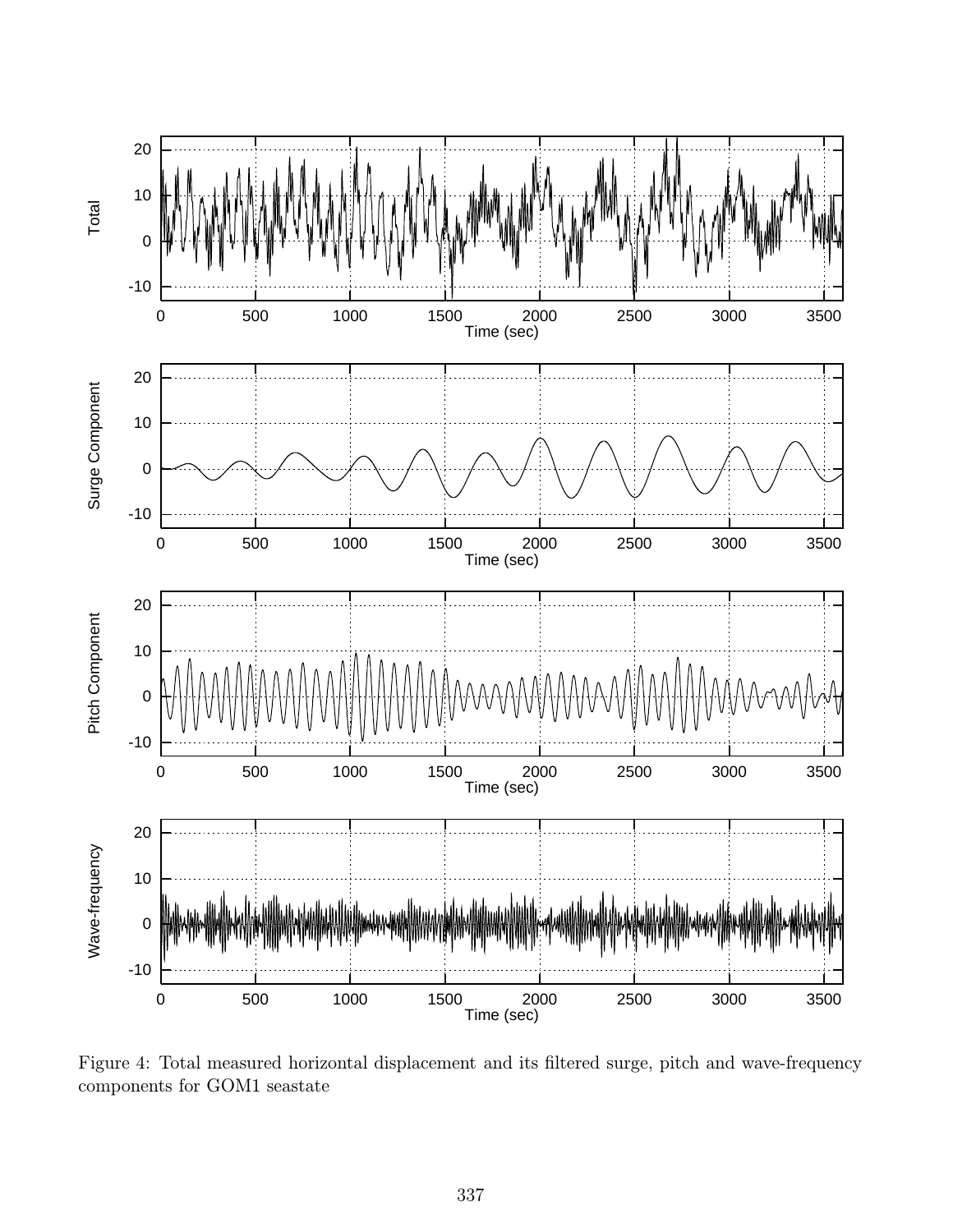

Figure 4: Total measured horizontal displacement and its filtered surge, pitch and wave-frequency components for GOM1 seastate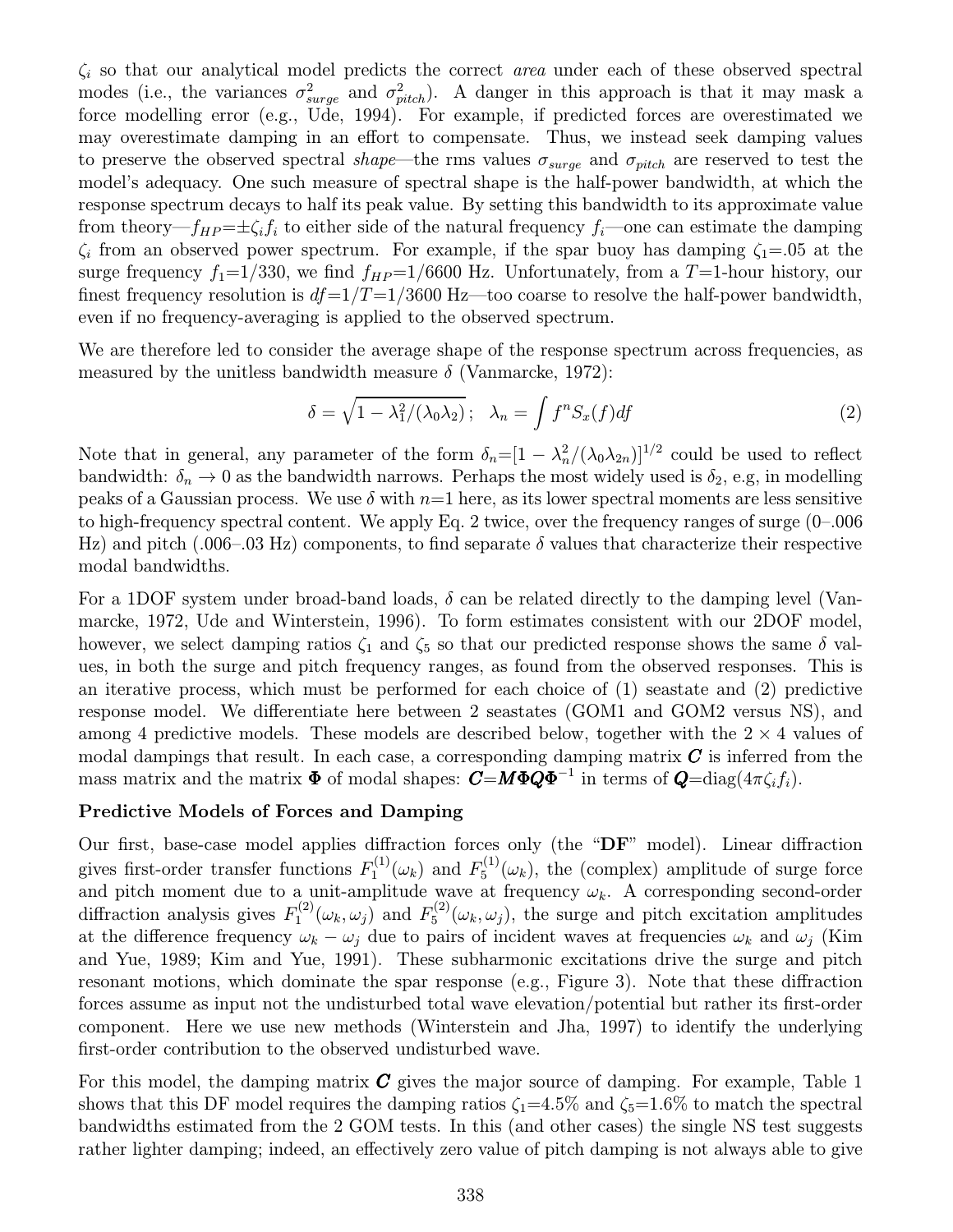$\zeta_i$  so that our analytical model predicts the correct *area* under each of these observed spectral modes (i.e., the variances  $\sigma_{surface}^2$  and  $\sigma_{pitch}^2$ ). A danger in this approach is that it may mask a<br>force modelling error (e.g. U.d. 1004). For example, if predicted forces are expressimated we force modelling error (e.g., Ude, 1994). For example, if predicted forces are overestimated we may overestimate damping in an effort to compensate. Thus, we instead seek damping values to preserve the observed spectral shape—the rms values  $\sigma_{surge}$  and  $\sigma_{pitch}$  are reserved to test the model's adequacy. One such measure of spectral shape is the half-power bandwidth, at which the response spectrum decays to half its peak value. By setting this bandwidth to its approximate value from theory— $f_{HP}=\pm \zeta_i f_i$  to either side of the natural frequency  $f_i$ —one can estimate the damping  $\zeta_i$  from an observed power spectrum. For example, if the spar buoy has damping  $\zeta_1 = .05$  at the surge frequency  $f_1=1/330$ , we find  $f_{HP}=1/6600$  Hz. Unfortunately, from a T=1-hour history, our finest frequency resolution is  $df=1/T=1/3600$  Hz—too coarse to resolve the half-power bandwidth, even if no frequency-averaging is applied to the observed spectrum.

We are therefore led to consider the average shape of the response spectrum across frequencies, as measured by the unitless bandwidth measure  $\delta$  (Vanmarcke, 1972):

$$
\delta = \sqrt{1 - \lambda_1^2 / (\lambda_0 \lambda_2)}; \quad \lambda_n = \int f^n S_x(f) df \tag{2}
$$

Note that in general, any parameter of the form  $\delta_n = [1 - \lambda_n^2/(\lambda_0 \lambda_{2n})]^{1/2}$  could be used to reflect bendwidth.  $\delta_n > 0$  as the bandwidth parameter Perhaps the most widely used is  $\delta_n > \alpha$  in modelling bandwidth:  $\delta_n \to 0$  as the bandwidth narrows. Perhaps the most widely used is  $\delta_2$ , e.g, in modelling peaks of a Gaussian process. We use  $\delta$  with  $n=1$  here, as its lower spectral moments are less sensitive to high-frequency spectral content. We apply Eq. 2 twice, over the frequency ranges of surge (0–.006 Hz) and pitch (.006–.03 Hz) components, to find separate  $\delta$  values that characterize their respective modal bandwidths.

For a 1DOF system under broad-band loads,  $\delta$  can be related directly to the damping level (Vanmarcke, 1972, Ude and Winterstein, 1996). To form estimates consistent with our 2DOF model, however, we select damping ratios  $\zeta_1$  and  $\zeta_5$  so that our predicted response shows the same  $\delta$  values, in both the surge and pitch frequency ranges, as found from the observed responses. This is an iterative process, which must be performed for each choice of (1) seastate and (2) predictive response model. We differentiate here between 2 seastates (GOM1 and GOM2 versus NS), and among 4 predictive models. These models are described below, together with the  $2 \times 4$  values of modal dampings that result. In each case, a corresponding damping matrix  $C$  is inferred from the mass matrix and the matrix  $\Phi$  of modal shapes:  $C=M\Phi Q\Phi^{-1}$  in terms of  $Q=\text{diag}(4\pi\zeta_i f_i)$ .

#### Predictive Models of Forces and Damping

Our first, base-case model applies diffraction forces only (the "DF" model). Linear diffraction gives first-order transfer functions  $F_1^{(1)}(\omega_k)$  and  $F_5^{(1)}(\omega_k)$ , the (complex) amplitude of surge force and pitch moment due to a unit-amplitude wave at frequency  $\omega_k$ . A corresponding second-order diffraction analysis gives  $F_1^{(2)}(\omega_k, \omega_j)$  and  $F_5^{(2)}(\omega_k, \omega_j)$ , the surge and pitch excitation amplitudes at the difference frequency  $\omega_k - \omega_j$  due to pairs of incident waves at frequencies  $\omega_k$  and  $\omega_j$  (Kim and Yue, 1989; Kim and Yue, 1991). These subharmonic excitations drive the surge and pitch resonant motions, which dominate the spar response (e.g., Figure 3). Note that these diffraction forces assume as input not the undisturbed total wave elevation/potential but rather its first-order component. Here we use new methods (Winterstein and Jha, 1997) to identify the underlying first-order contribution to the observed undisturbed wave.

For this model, the damping matrix  $C$  gives the major source of damping. For example, Table 1 shows that this DF model requires the damping ratios  $\zeta_1=4.5\%$  and  $\zeta_5=1.6\%$  to match the spectral bandwidths estimated from the 2 GOM tests. In this (and other cases) the single NS test suggests rather lighter damping; indeed, an effectively zero value of pitch damping is not always able to give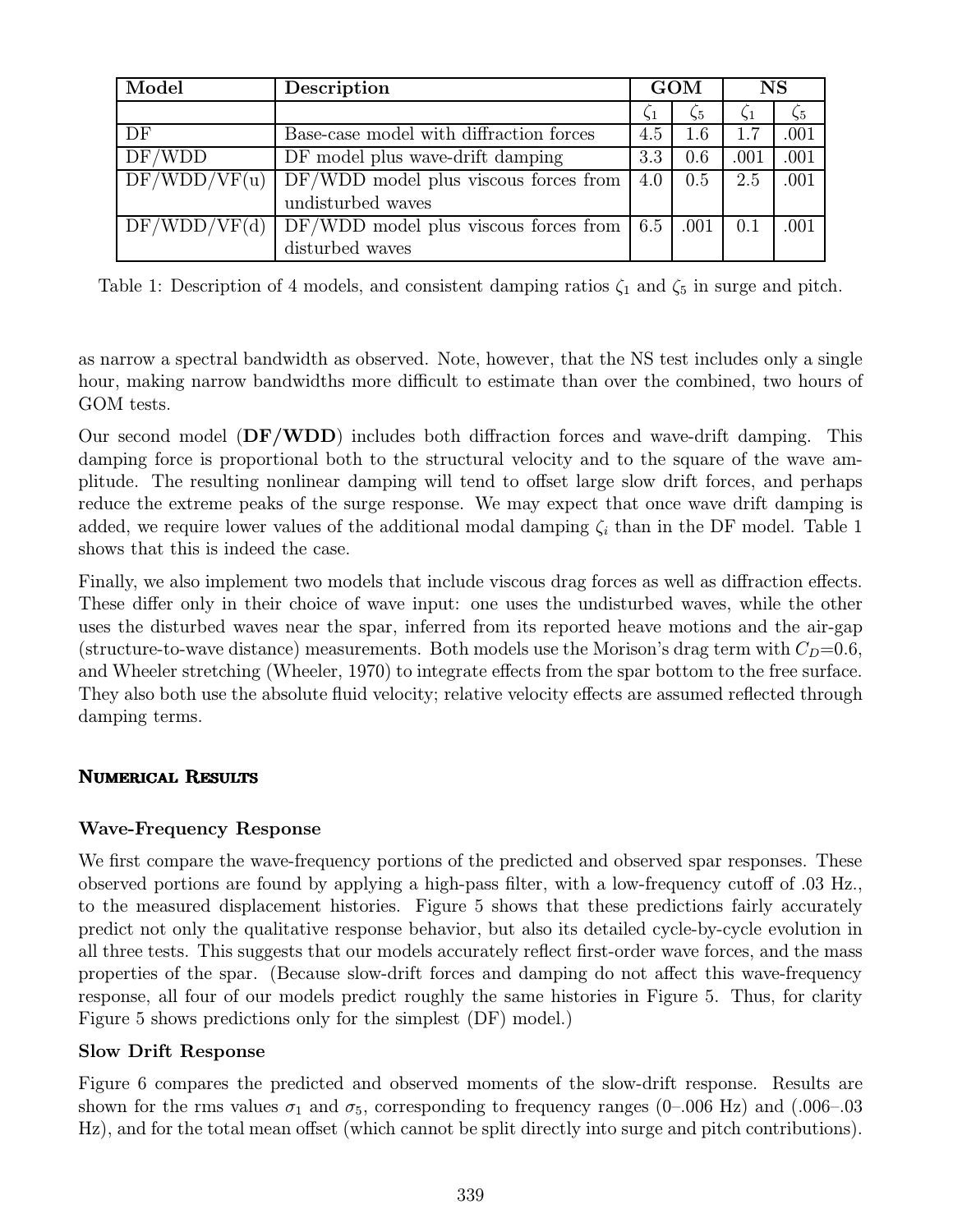| Model        | Description                             | <b>GOM</b> |      | <b>NS</b> |      |
|--------------|-----------------------------------------|------------|------|-----------|------|
|              |                                         | $\zeta_1$  | 55   |           |      |
| DF           | Base-case model with diffraction forces | 4.5        | 1.6  | 1.7       | .001 |
| DF/WDD       | DF model plus wave-drift damping        | 3.3        | 0.6  | .001      | .001 |
| DF/WDD/VF(u) | $DF/WDD$ model plus viscous forces from | 4.0        | 0.5  | 2.5       | .001 |
|              | undisturbed waves                       |            |      |           |      |
| DF/WDD/VF(d) | DF/WDD model plus viscous forces from   | 6.5        | .001 | $0.1\,$   | .001 |
|              | disturbed waves                         |            |      |           |      |

Table 1: Description of 4 models, and consistent damping ratios  $\zeta_1$  and  $\zeta_5$  in surge and pitch.

as narrow a spectral bandwidth as observed. Note, however, that the NS test includes only a single hour, making narrow bandwidths more difficult to estimate than over the combined, two hours of GOM tests.

Our second model  $(DF/WDD)$  includes both diffraction forces and wave-drift damping. This damping force is proportional both to the structural velocity and to the square of the wave amplitude. The resulting nonlinear damping will tend to offset large slow drift forces, and perhaps reduce the extreme peaks of the surge response. We may expect that once wave drift damping is added, we require lower values of the additional modal damping  $\zeta_i$  than in the DF model. Table 1 shows that this is indeed the case.

Finally, we also implement two models that include viscous drag forces as well as diffraction effects. These differ only in their choice of wave input: one uses the undisturbed waves, while the other uses the disturbed waves near the spar, inferred from its reported heave motions and the air-gap (structure-to-wave distance) measurements. Both models use the Morison's drag term with  $C_D=0.6$ , and Wheeler stretching (Wheeler, 1970) to integrate effects from the spar bottom to the free surface. They also both use the absolute fluid velocity; relative velocity effects are assumed reflected through damping terms.

# Numerical Results

# Wave-Frequency Response

We first compare the wave-frequency portions of the predicted and observed spar responses. These observed portions are found by applying a high-pass filter, with a low-frequency cutoff of .03 Hz., to the measured displacement histories. Figure 5 shows that these predictions fairly accurately predict not only the qualitative response behavior, but also its detailed cycle-by-cycle evolution in all three tests. This suggests that our models accurately reflect first-order wave forces, and the mass properties of the spar. (Because slow-drift forces and damping do not affect this wave-frequency response, all four of our models predict roughly the same histories in Figure 5. Thus, for clarity Figure 5 shows predictions only for the simplest (DF) model.)

# Slow Drift Response

Figure 6 compares the predicted and observed moments of the slow-drift response. Results are shown for the rms values  $\sigma_1$  and  $\sigma_5$ , corresponding to frequency ranges (0–.006 Hz) and (.006–.03 Hz), and for the total mean offset (which cannot be split directly into surge and pitch contributions).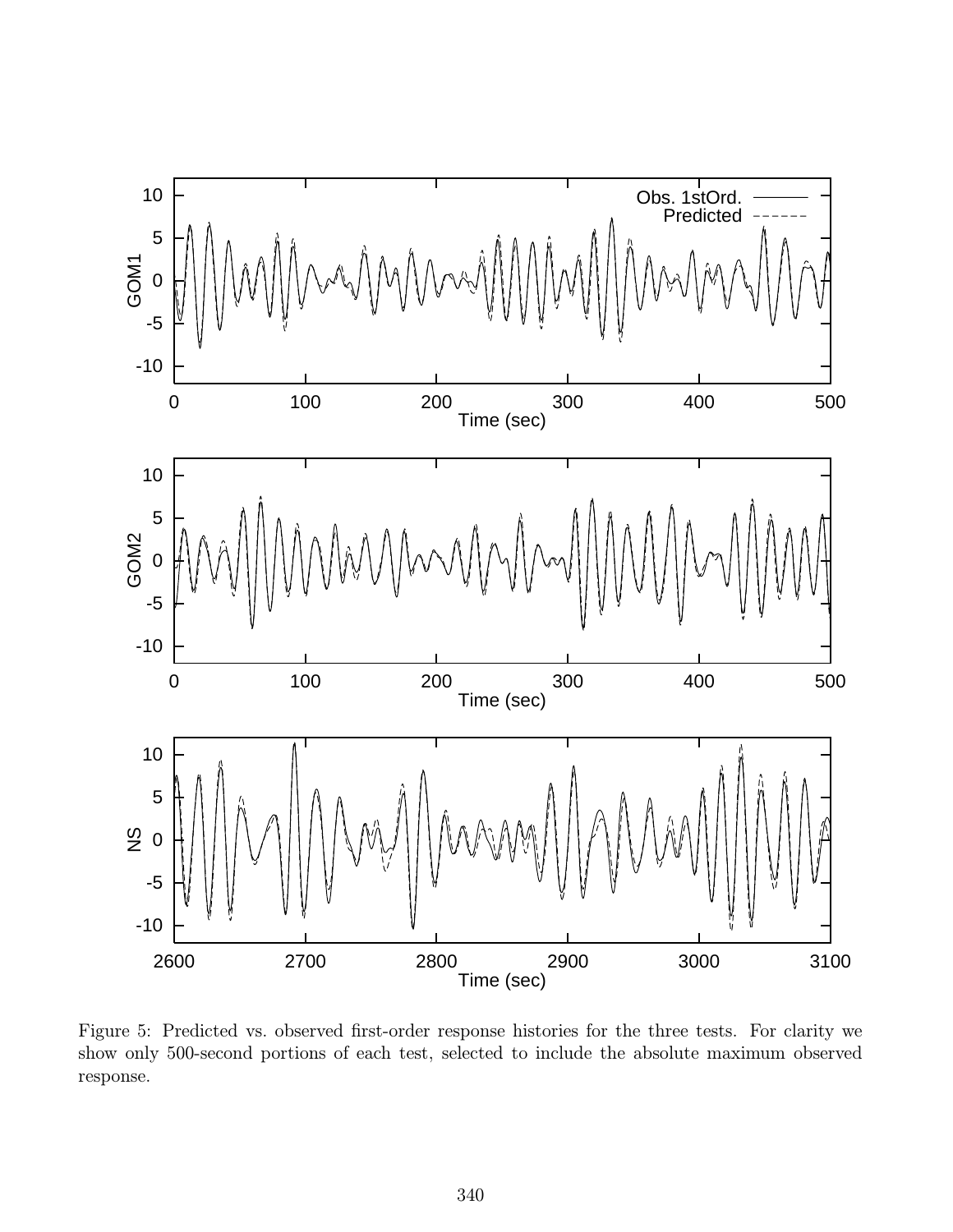

Figure 5: Predicted vs. observed first-order response histories for the three tests. For clarity we show only 500-second portions of each test, selected to include the absolute maximum observed response.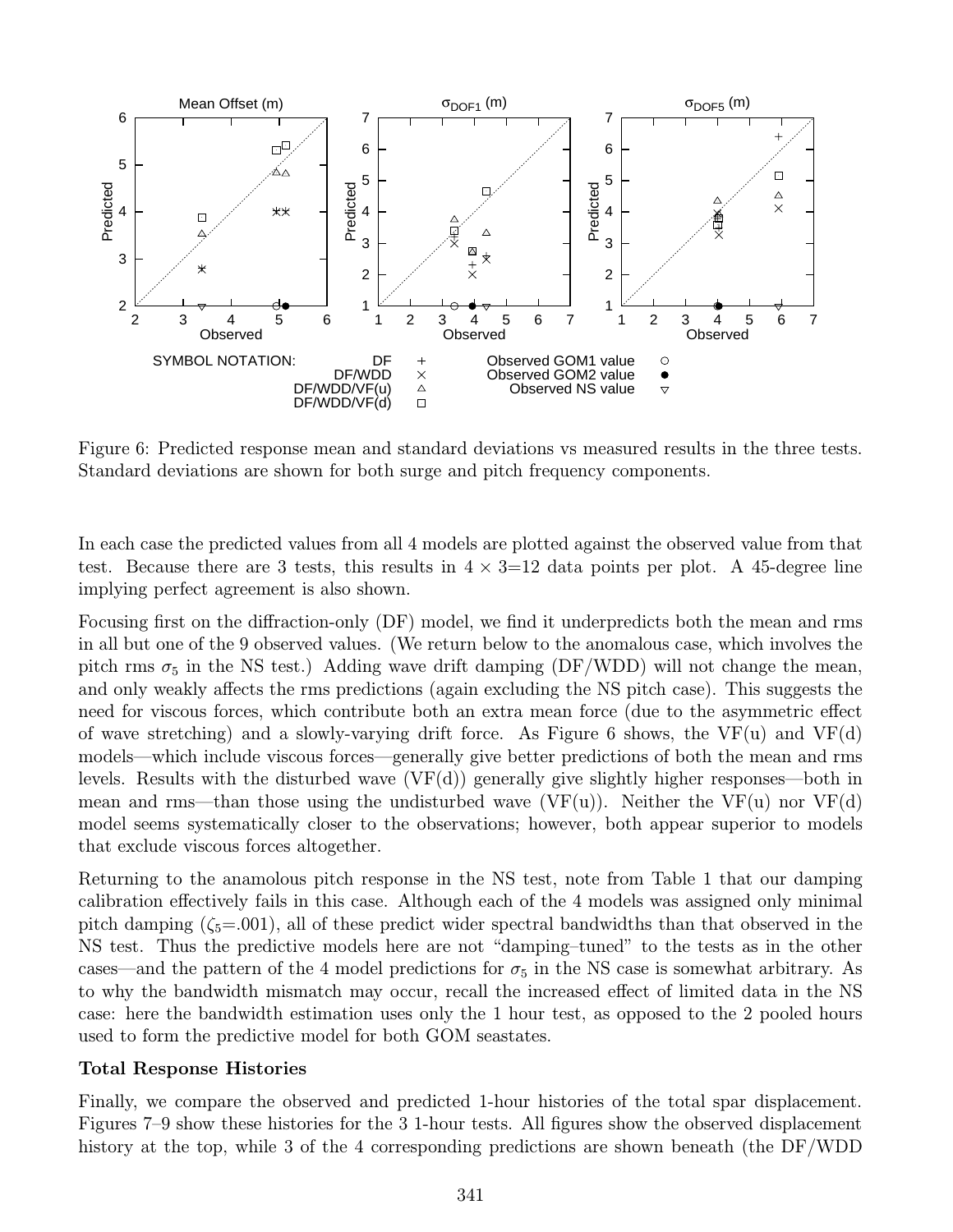

Figure 6: Predicted response mean and standard deviations vs measured results in the three tests. Standard deviations are shown for both surge and pitch frequency components.

In each case the predicted values from all 4 models are plotted against the observed value from that test. Because there are 3 tests, this results in  $4 \times 3=12$  data points per plot. A 45-degree line implying perfect agreement is also shown.

Focusing first on the diffraction-only (DF) model, we find it underpredicts both the mean and rms in all but one of the 9 observed values. (We return below to the anomalous case, which involves the pitch rms  $\sigma_5$  in the NS test.) Adding wave drift damping (DF/WDD) will not change the mean, and only weakly affects the rms predictions (again excluding the NS pitch case). This suggests the need for viscous forces, which contribute both an extra mean force (due to the asymmetric effect of wave stretching) and a slowly-varying drift force. As Figure 6 shows, the VF(u) and VF(d) models—which include viscous forces—generally give better predictions of both the mean and rms levels. Results with the disturbed wave  $(VF(d))$  generally give slightly higher responses—both in mean and rms—than those using the undisturbed wave  $(VF(u))$ . Neither the  $VF(u)$  nor  $VF(d)$ model seems systematically closer to the observations; however, both appear superior to models that exclude viscous forces altogether.

Returning to the anamolous pitch response in the NS test, note from Table 1 that our damping calibration effectively fails in this case. Although each of the 4 models was assigned only minimal pitch damping  $(\zeta_5=0.001)$ , all of these predict wider spectral bandwidths than that observed in the NS test. Thus the predictive models here are not "damping–tuned" to the tests as in the other cases—and the pattern of the 4 model predictions for  $\sigma_5$  in the NS case is somewhat arbitrary. As to why the bandwidth mismatch may occur, recall the increased effect of limited data in the NS case: here the bandwidth estimation uses only the 1 hour test, as opposed to the 2 pooled hours used to form the predictive model for both GOM seastates.

# Total Response Histories

Finally, we compare the observed and predicted 1-hour histories of the total spar displacement. Figures 7–9 show these histories for the 3 1-hour tests. All figures show the observed displacement history at the top, while 3 of the 4 corresponding predictions are shown beneath (the DF/WDD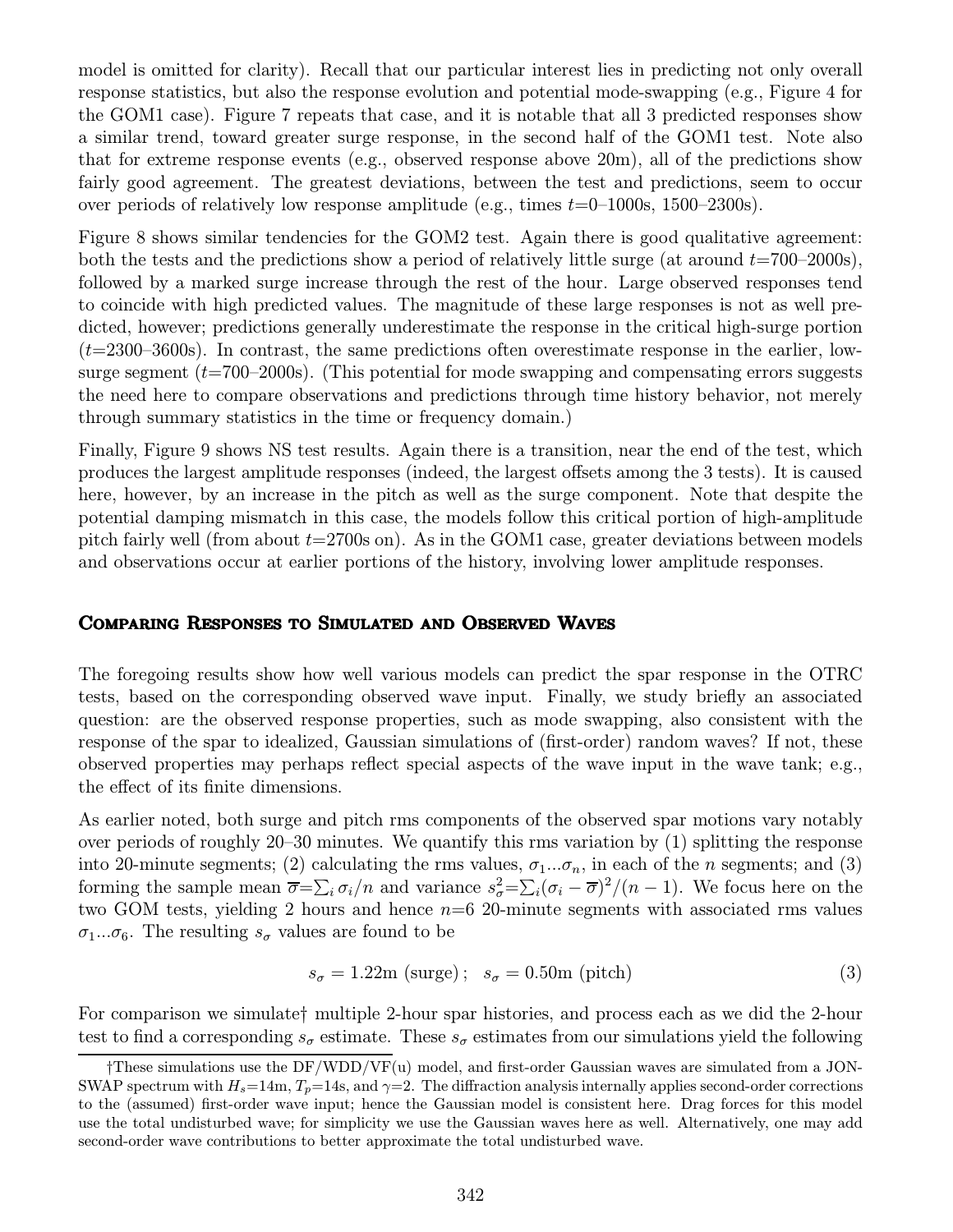model is omitted for clarity). Recall that our particular interest lies in predicting not only overall response statistics, but also the response evolution and potential mode-swapping (e.g., Figure 4 for the GOM1 case). Figure 7 repeats that case, and it is notable that all 3 predicted responses show a similar trend, toward greater surge response, in the second half of the GOM1 test. Note also that for extreme response events (e.g., observed response above 20m), all of the predictions show fairly good agreement. The greatest deviations, between the test and predictions, seem to occur over periods of relatively low response amplitude (e.g., times  $t=0-1000$ s, 1500–2300s).

Figure 8 shows similar tendencies for the GOM2 test. Again there is good qualitative agreement: both the tests and the predictions show a period of relatively little surge (at around  $t=700-2000$ s), followed by a marked surge increase through the rest of the hour. Large observed responses tend to coincide with high predicted values. The magnitude of these large responses is not as well predicted, however; predictions generally underestimate the response in the critical high-surge portion  $(t=2300-3600s)$ . In contrast, the same predictions often overestimate response in the earlier, lowsurge segment  $(t=700-2000s)$ . (This potential for mode swapping and compensating errors suggests the need here to compare observations and predictions through time history behavior, not merely through summary statistics in the time or frequency domain.)

Finally, Figure 9 shows NS test results. Again there is a transition, near the end of the test, which produces the largest amplitude responses (indeed, the largest offsets among the 3 tests). It is caused here, however, by an increase in the pitch as well as the surge component. Note that despite the potential damping mismatch in this case, the models follow this critical portion of high-amplitude pitch fairly well (from about  $t=2700$ s on). As in the GOM1 case, greater deviations between models and observations occur at earlier portions of the history, involving lower amplitude responses.

### Comparing Responses to Simulated and Observed Waves

The foregoing results show how well various models can predict the spar response in the OTRC tests, based on the corresponding observed wave input. Finally, we study briefly an associated question: are the observed response properties, such as mode swapping, also consistent with the response of the spar to idealized, Gaussian simulations of (first-order) random waves? If not, these observed properties may perhaps reflect special aspects of the wave input in the wave tank; e.g., the effect of its finite dimensions.

As earlier noted, both surge and pitch rms components of the observed spar motions vary notably over periods of roughly 20–30 minutes. We quantify this rms variation by (1) splitting the response into 20-minute segments; (2) calculating the rms values,  $\sigma_1...\sigma_n$ , in each of the *n* segments; and (3) forming the sample mean  $\overline{\sigma} = \sum_i \sigma_i/n$  and variance  $s_{\sigma}^2 = \sum_i (\sigma_i - \overline{\sigma})^2/(n-1)$ . We focus here on the two GOM tests, yielding 2 hours and hence  $n=6$  20-minute segments with associated rms values  $\sigma_1...\sigma_6$ . The resulting  $s_{\sigma}$  values are found to be

$$
s_{\sigma} = 1.22 \text{m (surge)}; \quad s_{\sigma} = 0.50 \text{m (pitch)}
$$
 (3)

For comparison we simulate† multiple 2-hour spar histories, and process each as we did the 2-hour test to find a corresponding  $s_{\sigma}$  estimate. These  $s_{\sigma}$  estimates from our simulations yield the following

<sup>†</sup>These simulations use the DF/WDD/VF(u) model, and first-order Gaussian waves are simulated from a JON-SWAP spectrum with  $H_s=14$ m,  $T_p=14$ s, and  $\gamma=2$ . The diffraction analysis internally applies second-order corrections to the (assumed) first-order wave input; hence the Gaussian model is consistent here. Drag forces for this model use the total undisturbed wave; for simplicity we use the Gaussian waves here as well. Alternatively, one may add second-order wave contributions to better approximate the total undisturbed wave.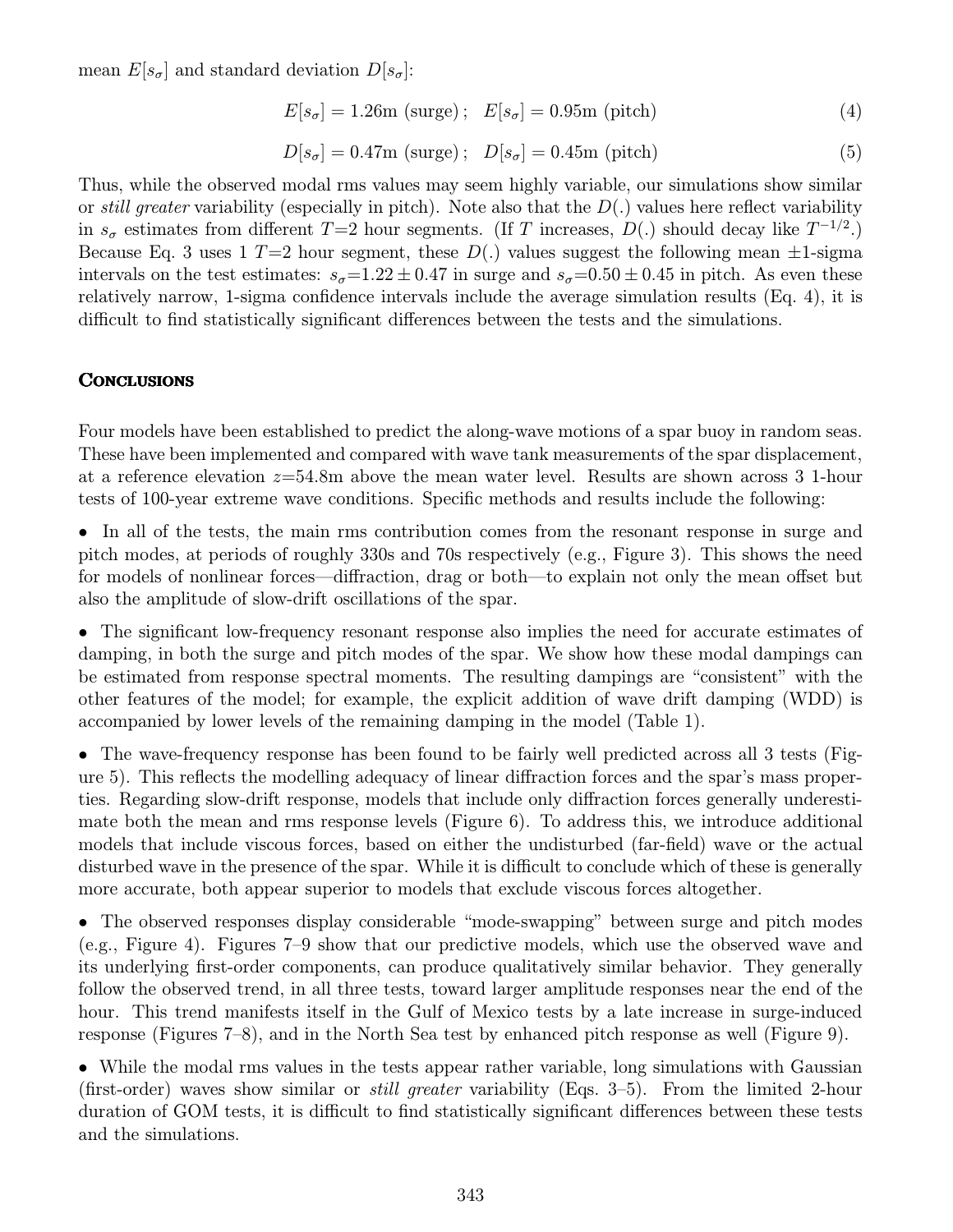mean  $E[s_{\sigma}]$  and standard deviation  $D[s_{\sigma}]:$ 

$$
E[s_{\sigma}] = 1.26m \text{ (surge)}; \quad E[s_{\sigma}] = 0.95m \text{ (pitch)} \tag{4}
$$

$$
D[s_{\sigma}] = 0.47 \text{m (surge)}; \quad D[s_{\sigma}] = 0.45 \text{m (pitch)}
$$
 (5)

Thus, while the observed modal rms values may seem highly variable, our simulations show similar or still greater variability (especially in pitch). Note also that the  $D(.)$  values here reflect variability in  $s_{\sigma}$  estimates from different T=2 hour segments. (If T increases, D(.) should decay like  $T^{-1/2}$ .) Because Eq. 3 uses 1  $T=2$  hour segment, these  $D(.)$  values suggest the following mean  $\pm 1$ -sigma intervals on the test estimates:  $s_{\sigma} = 1.22 \pm 0.47$  in surge and  $s_{\sigma} = 0.50 \pm 0.45$  in pitch. As even these relatively narrow, 1-sigma confidence intervals include the average simulation results (Eq. 4), it is difficult to find statistically significant differences between the tests and the simulations.

#### **CONCLUSIONS**

Four models have been established to predict the along-wave motions of a spar buoy in random seas. These have been implemented and compared with wave tank measurements of the spar displacement, at a reference elevation  $z=54.8$ m above the mean water level. Results are shown across 3 1-hour tests of 100-year extreme wave conditions. Specific methods and results include the following:

• In all of the tests, the main rms contribution comes from the resonant response in surge and pitch modes, at periods of roughly 330s and 70s respectively (e.g., Figure 3). This shows the need for models of nonlinear forces—diffraction, drag or both—to explain not only the mean offset but also the amplitude of slow-drift oscillations of the spar.

• The significant low-frequency resonant response also implies the need for accurate estimates of damping, in both the surge and pitch modes of the spar. We show how these modal dampings can be estimated from response spectral moments. The resulting dampings are "consistent" with the other features of the model; for example, the explicit addition of wave drift damping (WDD) is accompanied by lower levels of the remaining damping in the model (Table 1).

• The wave-frequency response has been found to be fairly well predicted across all 3 tests (Figure 5). This reflects the modelling adequacy of linear diffraction forces and the spar's mass properties. Regarding slow-drift response, models that include only diffraction forces generally underestimate both the mean and rms response levels (Figure 6). To address this, we introduce additional models that include viscous forces, based on either the undisturbed (far-field) wave or the actual disturbed wave in the presence of the spar. While it is difficult to conclude which of these is generally more accurate, both appear superior to models that exclude viscous forces altogether.

• The observed responses display considerable "mode-swapping" between surge and pitch modes (e.g., Figure 4). Figures 7–9 show that our predictive models, which use the observed wave and its underlying first-order components, can produce qualitatively similar behavior. They generally follow the observed trend, in all three tests, toward larger amplitude responses near the end of the hour. This trend manifests itself in the Gulf of Mexico tests by a late increase in surge-induced response (Figures 7–8), and in the North Sea test by enhanced pitch response as well (Figure 9).

• While the modal rms values in the tests appear rather variable, long simulations with Gaussian (first-order) waves show similar or still greater variability (Eqs. 3–5). From the limited 2-hour duration of GOM tests, it is difficult to find statistically significant differences between these tests and the simulations.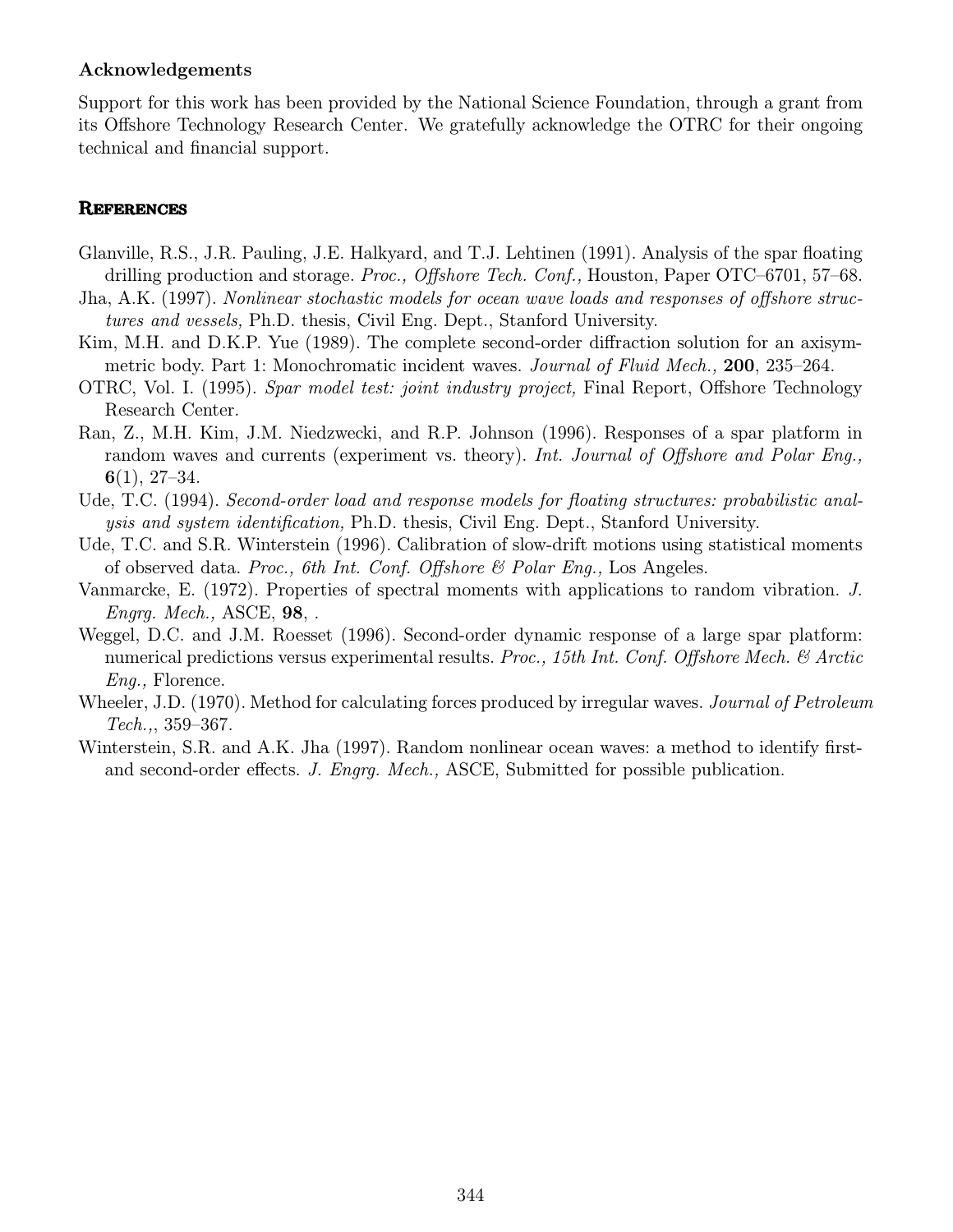### Acknowledgements

Support for this work has been provided by the National Science Foundation, through a grant from its Offshore Technology Research Center. We gratefully acknowledge the OTRC for their ongoing technical and financial support.

### **REFERENCES**

- Glanville, R.S., J.R. Pauling, J.E. Halkyard, and T.J. Lehtinen (1991). Analysis of the spar floating drilling production and storage. Proc., Offshore Tech. Conf., Houston, Paper OTC–6701, 57–68.
- Jha, A.K. (1997). Nonlinear stochastic models for ocean wave loads and responses of offshore structures and vessels, Ph.D. thesis, Civil Eng. Dept., Stanford University.
- Kim, M.H. and D.K.P. Yue (1989). The complete second-order diffraction solution for an axisymmetric body. Part 1: Monochromatic incident waves. *Journal of Fluid Mech.*, **200**, 235–264.
- OTRC, Vol. I. (1995). Spar model test: joint industry project, Final Report, Offshore Technology Research Center.
- Ran, Z., M.H. Kim, J.M. Niedzwecki, and R.P. Johnson (1996). Responses of a spar platform in random waves and currents (experiment vs. theory). Int. Journal of Offshore and Polar Eng.,  $6(1), 27-34.$
- Ude, T.C. (1994). Second-order load and response models for floating structures: probabilistic analysis and systemidentification, Ph.D. thesis, Civil Eng. Dept., Stanford University.
- Ude, T.C. and S.R. Winterstein (1996). Calibration of slow-drift motions using statistical moments of observed data. Proc., 6th Int. Conf. Offshore  $\mathcal B$  Polar Eng., Los Angeles.
- Vanmarcke, E. (1972). Properties of spectral moments with applications to random vibration. J. Engrg. Mech., ASCE, 98, .
- Weggel, D.C. and J.M. Roesset (1996). Second-order dynamic response of a large spar platform: numerical predictions versus experimental results. Proc., 15th Int. Conf. Offshore Mech. & Arctic Eng., Florence.
- Wheeler, J.D. (1970). Method for calculating forces produced by irregular waves. *Journal of Petroleum* Tech.,, 359–367.
- Winterstein, S.R. and A.K. Jha (1997). Random nonlinear ocean waves: a method to identify firstand second-order effects. J. Engrg. Mech., ASCE, Submitted for possible publication.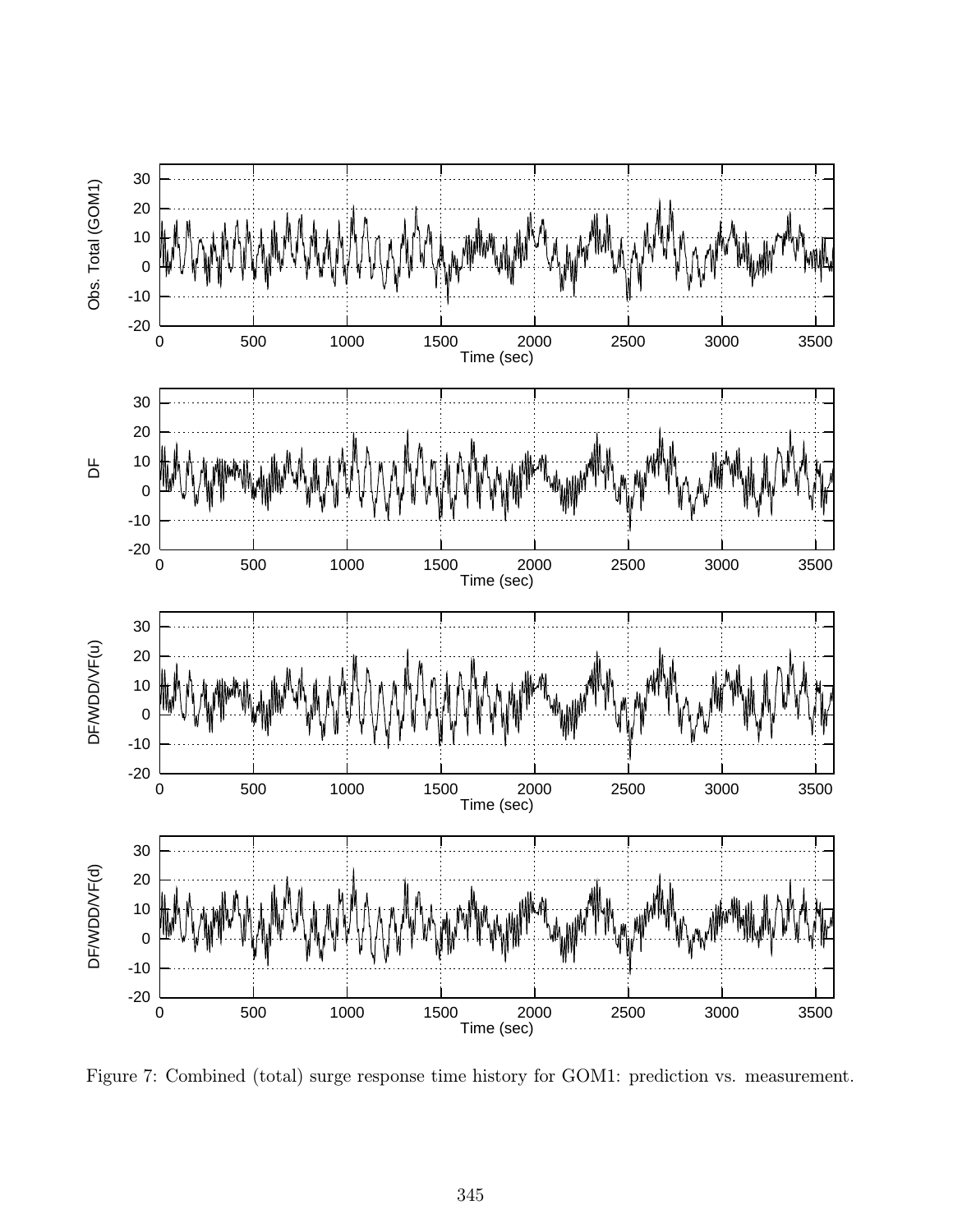

Figure 7: Combined (total) surge response time history for GOM1: prediction vs. measurement.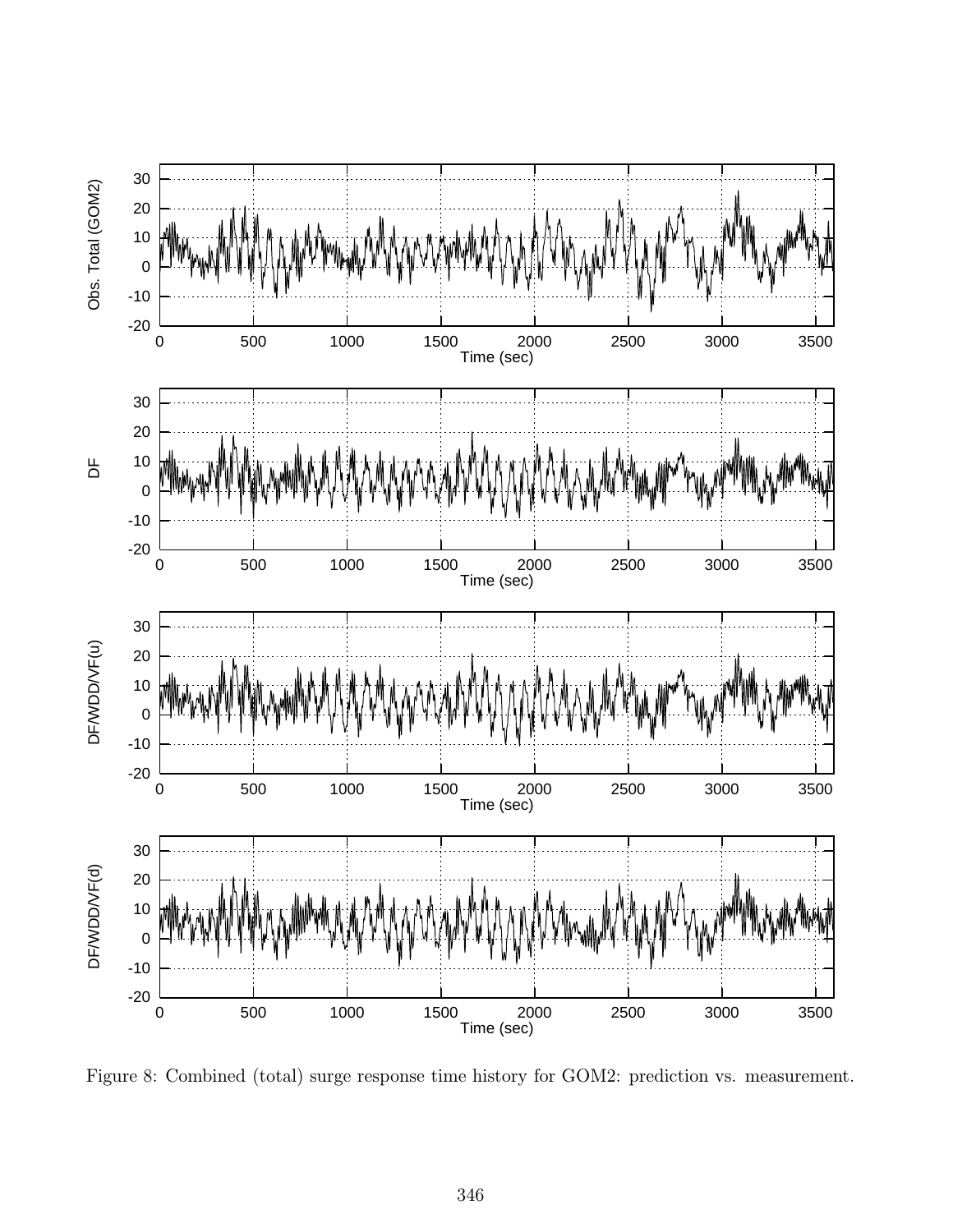

Figure 8: Combined (total) surge response time history for GOM2: prediction vs. measurement.